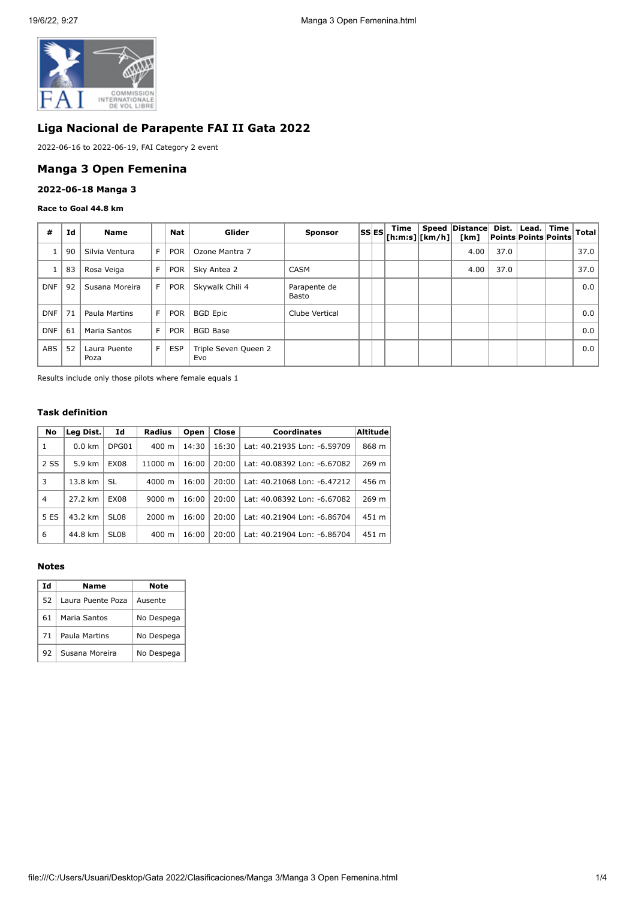

# **Liga Nacional de Parapente FAI II Gata 2022**

2022-06-16 to 2022-06-19, FAI Category 2 event

### **Manga 3 Open Femenina**

### **2022-06-18 Manga 3**

#### **Race to Goal 44.8 km**

| #          | Id | <b>Name</b>          |    | Nat        | Glider                      | <b>Sponsor</b>        | <b>SSES</b> | Time<br>$ $ [h:m:s] $ $ [km/h] $ $ | Speed   Distance  <br>[km] |      | Dist.   Lead.   Time  <br><b>Points Points Points</b> | Total |
|------------|----|----------------------|----|------------|-----------------------------|-----------------------|-------------|------------------------------------|----------------------------|------|-------------------------------------------------------|-------|
|            | 90 | Silvia Ventura       | F. | <b>POR</b> | Ozone Mantra 7              |                       |             |                                    | 4.00                       | 37.0 |                                                       | 37.0  |
|            | 83 | Rosa Veiga           | F  | <b>POR</b> | Sky Antea 2                 | <b>CASM</b>           |             |                                    | 4.00                       | 37.0 |                                                       | 37.0  |
| <b>DNF</b> | 92 | Susana Moreira       | F. | <b>POR</b> | Skywalk Chili 4             | Parapente de<br>Basto |             |                                    |                            |      |                                                       | 0.0   |
| <b>DNF</b> | 71 | Paula Martins        | F  | <b>POR</b> | <b>BGD Epic</b>             | Clube Vertical        |             |                                    |                            |      |                                                       | 0.0   |
| <b>DNF</b> | 61 | Maria Santos         | F  | <b>POR</b> | <b>BGD Base</b>             |                       |             |                                    |                            |      |                                                       | 0.0   |
| <b>ABS</b> | 52 | Laura Puente<br>Poza | F  | <b>ESP</b> | Triple Seven Queen 2<br>Evo |                       |             |                                    |                            |      |                                                       | 0.0   |

Results include only those pilots where female equals 1

### **Task definition**

| No             | Leg Dist. | Id               | Radius             | Open  | Close | <b>Coordinates</b>          | <b>Altitude</b> |
|----------------|-----------|------------------|--------------------|-------|-------|-----------------------------|-----------------|
| 1              | $0.0$ km  | DPG01            | $400 \text{ m}$    | 14:30 | 16:30 | Lat: 40.21935 Lon: -6.59709 | 868 m           |
| 2 SS           | 5.9 km    | <b>EX08</b>      | 11000 m            | 16:00 | 20:00 | Lat: 40.08392 Lon: -6.67082 | 269 m           |
| 3              | 13.8 km   | SL               | 4000 m             | 16:00 | 20:00 | Lat: 40.21068 Lon: -6.47212 | 456 m           |
| $\overline{4}$ | 27.2 km   | <b>EX08</b>      | $9000 \; m$        | 16:00 | 20:00 | Lat: 40.08392 Lon: -6.67082 | 269 m           |
| 5 ES           | 43.2 km   | SL <sub>08</sub> | $2000 \; \text{m}$ | 16:00 | 20:00 | Lat: 40.21904 Lon: -6.86704 | 451 m           |
| 6              | 44.8 km   | SL <sub>08</sub> | $400 \text{ m}$    | 16:00 | 20:00 | Lat: 40.21904 Lon: -6.86704 | 451 m           |

### **Notes**

| Id | Name              | Note       |
|----|-------------------|------------|
| 52 | Laura Puente Poza | Ausente    |
| 61 | Maria Santos      | No Despega |
| 71 | Paula Martins     | No Despega |
| 92 | Susana Moreira    | No Despega |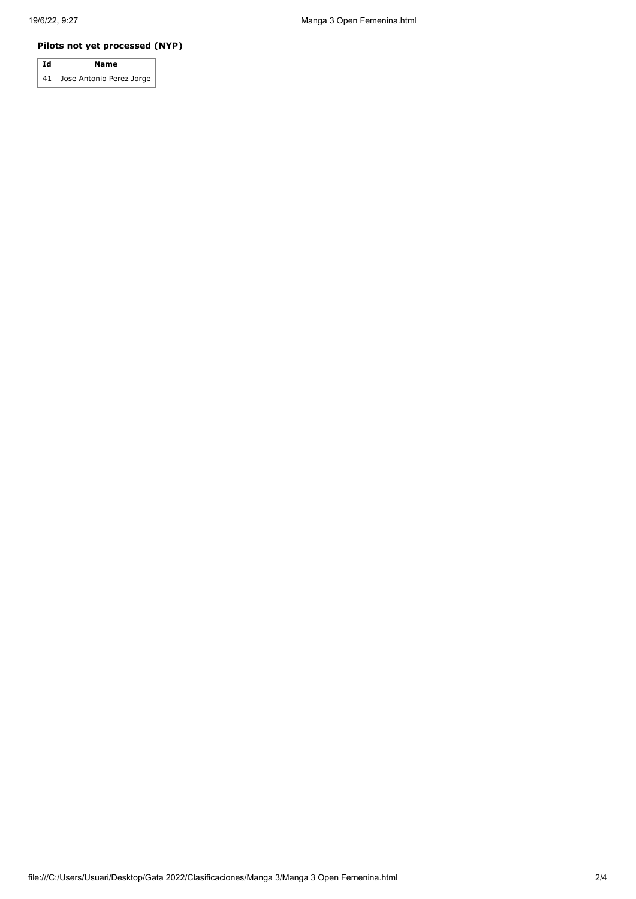# **Pilots not yet processed (NYP)**

| Ιd<br>Name |                               |  |  |  |  |
|------------|-------------------------------|--|--|--|--|
|            | 41   Jose Antonio Perez Jorge |  |  |  |  |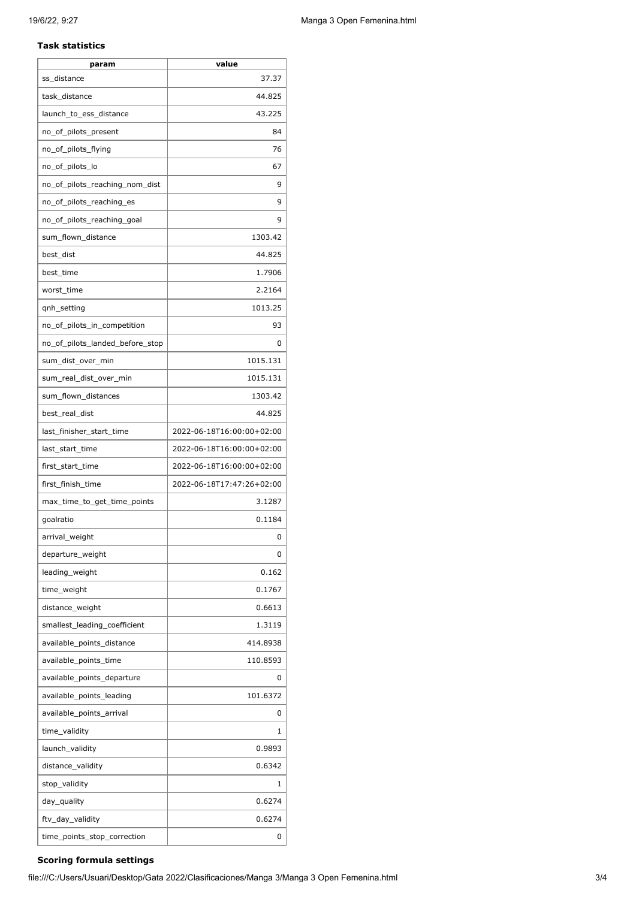### **Task statistics**

| param                           | value                     |
|---------------------------------|---------------------------|
| ss distance                     | 37.37                     |
| task distance                   | 44.825                    |
| launch_to_ess_distance          | 43.225                    |
| no_of_pilots_present            | 84                        |
| no_of_pilots_flying             | 76                        |
| no_of_pilots_lo                 | 67                        |
| no_of_pilots_reaching_nom_dist  | 9                         |
| no_of_pilots_reaching_es        | 9                         |
| no_of_pilots_reaching_goal      | 9                         |
| sum_flown_distance              | 1303.42                   |
| best_dist                       | 44.825                    |
| best_time                       | 1.7906                    |
| worst_time                      | 2.2164                    |
| qnh_setting                     | 1013.25                   |
| no_of_pilots_in_competition     | 93                        |
| no_of_pilots_landed_before_stop | 0                         |
| sum_dist_over_min               | 1015.131                  |
| sum_real_dist_over_min          | 1015.131                  |
| sum_flown_distances             | 1303.42                   |
| best_real_dist                  | 44.825                    |
| last_finisher_start_time        | 2022-06-18T16:00:00+02:00 |
| last_start_time                 | 2022-06-18T16:00:00+02:00 |
| first_start_time                | 2022-06-18T16:00:00+02:00 |
| first_finish_time               | 2022-06-18T17:47:26+02:00 |
| max_time_to_get_time_points     | 3.1287                    |
| goalratio                       | 0.1184                    |
| arrival_weight                  | O                         |
| departure_weight                | 0                         |
| leading_weight                  | 0.162                     |
| time_weight                     | 0.1767                    |
| distance_weight                 | 0.6613                    |
| smallest_leading_coefficient    | 1.3119                    |
| available_points_distance       | 414.8938                  |
| available_points_time           | 110.8593                  |
| available_points_departure      | 0                         |
| available_points_leading        | 101.6372                  |
| available_points_arrival        | 0                         |
| time_validity                   | 1                         |
| launch_validity                 | 0.9893                    |
| distance_validity               | 0.6342                    |
| stop_validity                   | 1                         |
| day_quality                     | 0.6274                    |
| ftv_day_validity                | 0.6274                    |
| time_points_stop_correction     | 0                         |
|                                 |                           |

# **Scoring formula settings**